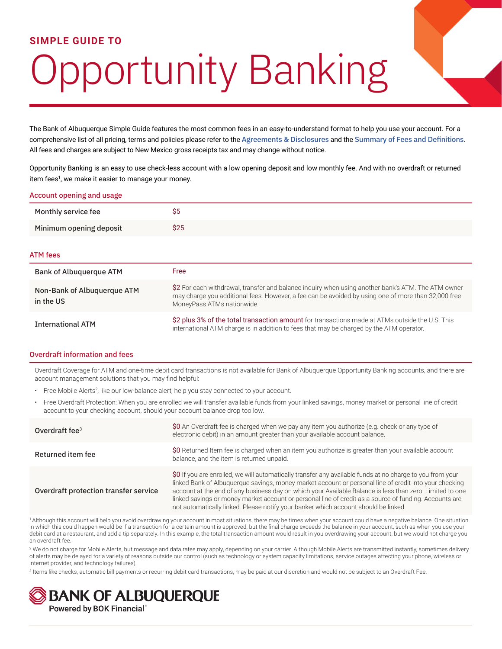## **SIMPLE GUIDE TO**

# Opportunity Banking

The Bank of Albuquerque Simple Guide features the most common fees in an easy-to-understand format to help you use your account. For a comprehensive list of all pricing, terms and policies please refer to the [Agreements & Disclosures](https://www.bankofalbuquerque.com/oao/agreements-disclosures) and the [Summary of Fees and Definitions](https://www.bankofalbuquerque.com/oao/summary-of-fees). All fees and charges are subject to New Mexico gross receipts tax and may change without notice.

Opportunity Banking is an easy to use check-less account with a low opening deposit and low monthly fee. And with no overdraft or returned item fees<sup>1</sup>, we make it easier to manage your money.

| Account opening and usage                |                                                                                                                                                                                                                                         |  |  |  |  |
|------------------------------------------|-----------------------------------------------------------------------------------------------------------------------------------------------------------------------------------------------------------------------------------------|--|--|--|--|
| Monthly service fee                      | \$5                                                                                                                                                                                                                                     |  |  |  |  |
| Minimum opening deposit                  | \$25                                                                                                                                                                                                                                    |  |  |  |  |
| <b>ATM fees</b>                          |                                                                                                                                                                                                                                         |  |  |  |  |
| Bank of Albuquerque ATM                  | Free                                                                                                                                                                                                                                    |  |  |  |  |
| Non-Bank of Albuguergue ATM<br>in the US | \$2 For each withdrawal, transfer and balance inquiry when using another bank's ATM. The ATM owner<br>may charge you additional fees. However, a fee can be avoided by using one of more than 32,000 free<br>MoneyPass ATMs nationwide. |  |  |  |  |
| <b>International ATM</b>                 | \$2 plus 3% of the total transaction amount for transactions made at ATMs outside the U.S. This<br>international ATM charge is in addition to fees that may be charged by the ATM operator.                                             |  |  |  |  |

#### Overdraft information and fees

Overdraft Coverage for ATM and one-time debit card transactions is not available for Bank of Albuquerque Opportunity Banking accounts, and there are account management solutions that you may find helpful:

- Free Mobile Alerts<sup>2</sup>, like our low-balance alert, help you stay connected to your account.
- Free Overdraft Protection: When you are enrolled we will transfer available funds from your linked savings, money market or personal line of credit account to your checking account, should your account balance drop too low.

| Overdraft fee $3$                     | \$0 An Overdraft fee is charged when we pay any item you authorize (e.g. check or any type of<br>electronic debit) in an amount greater than your available account balance.                                                                                                                                                                                                                                                                                                                                                     |
|---------------------------------------|----------------------------------------------------------------------------------------------------------------------------------------------------------------------------------------------------------------------------------------------------------------------------------------------------------------------------------------------------------------------------------------------------------------------------------------------------------------------------------------------------------------------------------|
| Returned item fee                     | \$0 Returned Item fee is charged when an item you authorize is greater than your available account<br>balance, and the item is returned unpaid.                                                                                                                                                                                                                                                                                                                                                                                  |
| Overdraft protection transfer service | \$0 If you are enrolled, we will automatically transfer any available funds at no charge to you from your<br>linked Bank of Albuquerque savings, money market account or personal line of credit into your checking<br>account at the end of any business day on which your Available Balance is less than zero. Limited to one<br>linked savings or money market account or personal line of credit as a source of funding. Accounts are<br>not automatically linked. Please notify your banker which account should be linked. |

1 Although this account will help you avoid overdrawing your account in most situations, there may be times when your account could have a negative balance. One situation in which this could happen would be if a transaction for a certain amount is approved, but the final charge exceeds the balance in your account, such as when you use your debit card at a restaurant, and add a tip separately. In this example, the total transaction amount would result in you overdrawing your account, but we would not charge you an overdraft fee.

<sup>2</sup> We do not charge for Mobile Alerts, but message and data rates may apply, depending on your carrier. Although Mobile Alerts are transmitted instantly, sometimes delivery of alerts may be delayed for a variety of reasons outside our control (such as technology or system capacity limitations, service outages affecting your phone, wireless or internet provider, and technology failures).

<sup>3</sup> Items like checks, automatic bill payments or recurring debit card transactions, may be paid at our discretion and would not be subject to an Overdraft Fee.